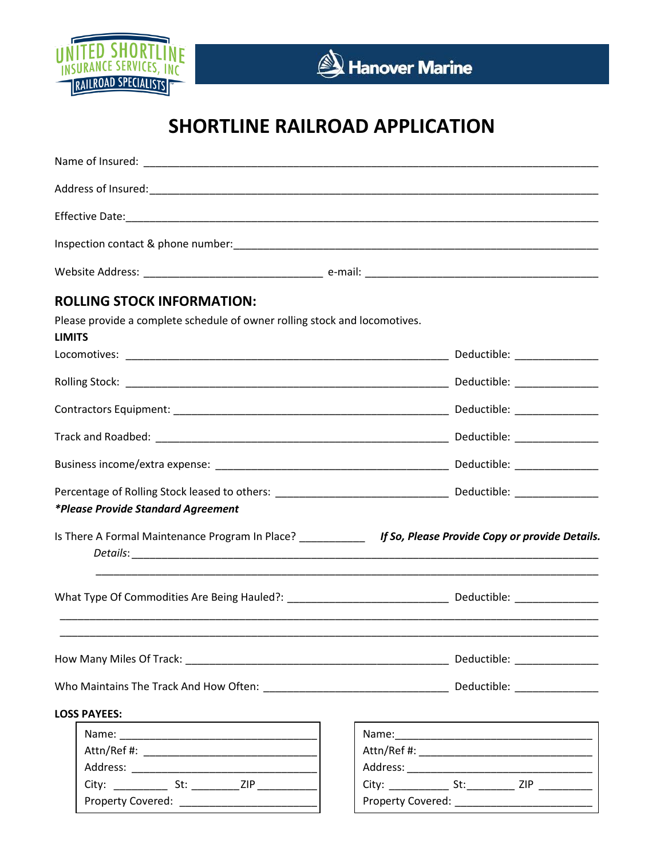

## **SHORTLINE RAILROAD APPLICATION**

| <b>ROLLING STOCK INFORMATION:</b>                                                                                                                    |  |
|------------------------------------------------------------------------------------------------------------------------------------------------------|--|
| Please provide a complete schedule of owner rolling stock and locomotives.<br><b>LIMITS</b>                                                          |  |
|                                                                                                                                                      |  |
|                                                                                                                                                      |  |
|                                                                                                                                                      |  |
|                                                                                                                                                      |  |
|                                                                                                                                                      |  |
| Percentage of Rolling Stock leased to others: ___________________________________ Deductible: ________________<br>*Please Provide Standard Agreement |  |
| Is There A Formal Maintenance Program In Place? ___________ If So, Please Provide Copy or provide Details.                                           |  |
|                                                                                                                                                      |  |
|                                                                                                                                                      |  |
|                                                                                                                                                      |  |
| <b>LOSS PAYEES:</b>                                                                                                                                  |  |
|                                                                                                                                                      |  |
|                                                                                                                                                      |  |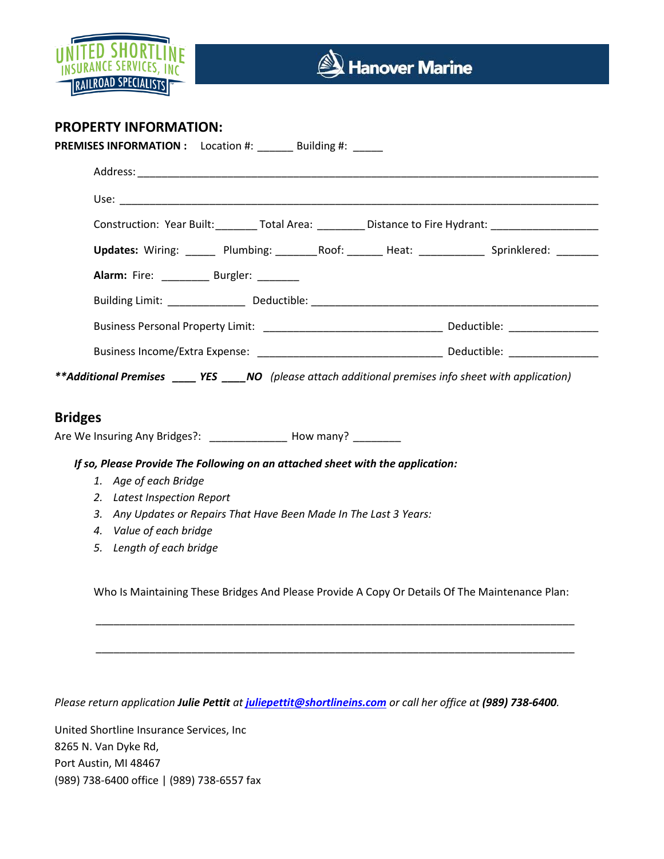

## **PROPERTY INFORMATION:**

| Construction: Year Built: ________ Total Area: _________ Distance to Fire Hydrant: _________________                                                                                                                                                                      |  |
|---------------------------------------------------------------------------------------------------------------------------------------------------------------------------------------------------------------------------------------------------------------------------|--|
| Updates: Wiring: ______ Plumbing: _______ Roof: ______ Heat: ____________ Sprinklered: _______                                                                                                                                                                            |  |
| Alarm: Fire: _________ Burgler: ______                                                                                                                                                                                                                                    |  |
|                                                                                                                                                                                                                                                                           |  |
|                                                                                                                                                                                                                                                                           |  |
|                                                                                                                                                                                                                                                                           |  |
|                                                                                                                                                                                                                                                                           |  |
| If so, Please Provide The Following on an attached sheet with the application:                                                                                                                                                                                            |  |
| 1. Age of each Bridge                                                                                                                                                                                                                                                     |  |
| 2. Latest Inspection Report                                                                                                                                                                                                                                               |  |
| **Additional Premises _____ YES _____ NO (please attach additional premises info sheet with application)<br><b>Bridges</b><br>Are We Insuring Any Bridges?: ________________ How many? _________<br>Any Updates or Repairs That Have Been Made In The Last 3 Years:<br>3. |  |
| 4. Value of each bridge<br>5. Length of each bridge                                                                                                                                                                                                                       |  |
|                                                                                                                                                                                                                                                                           |  |
| Who Is Maintaining These Bridges And Please Provide A Copy Or Details Of The Maintenance Plan:                                                                                                                                                                            |  |

*Please return application Julie Pettit at [juliepettit@shortlineins.com](mailto:juliepettit@shortlineins.com) or call her office at (989) 738-6400.* 

United Shortline Insurance Services, Inc 8265 N. Van Dyke Rd, Port Austin, MI 48467 (989) 738-6400 office | (989) 738-6557 fax